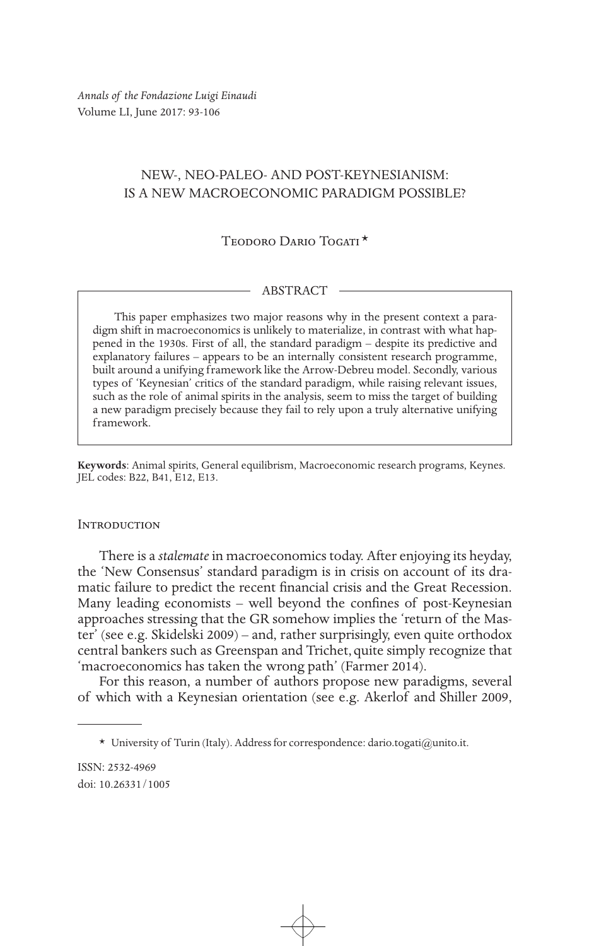*Annals of the Fondazione Luigi Einaudi* Volume LI, June 2017: 93-106

# NEW-, NEO-PALEO- AND POST-KEYNESIANISM: IS A NEW MACROECONOMIC PARADIGM POSSIBLE?

TEODORO DARIO TOGATI<sup>\*</sup>

## ABSTRACT

This paper emphasizes two major reasons why in the present context a paradigm shift in macroeconomics is unlikely to materialize, in contrast with what happened in the 1930s. First of all, the standard paradigm – despite its predictive and explanatory failures – appears to be an internally consistent research programme, built around a unifying framework like the Arrow-Debreu model. Secondly, various types of 'Keynesian' critics of the standard paradigm, while raising relevant issues, such as the role of animal spirits in the analysis, seem to miss the target of building a new paradigm precisely because they fail to rely upon a truly alternative unifying framework.

**Keywords**: Animal spirits, General equilibrism, Macroeconomic research programs, Keynes. JEL codes: B22, B41, E12, E13.

### **INTRODUCTION**

There is a *stalemate* in macroeconomics today. After enjoying its heyday, the 'New Consensus' standard paradigm is in crisis on account of its dramatic failure to predict the recent financial crisis and the Great Recession. Many leading economists – well beyond the confines of post-Keynesian approaches stressing that the GR somehow implies the 'return of the Master' (see e.g. Skidelski 2009) – and, rather surprisingly, even quite orthodox central bankers such as Greenspan and Trichet,quite simply recognize that 'macroeconomics has taken the wrong path' (Farmer 2014).

For this reason, a number of authors propose new paradigms, several of which with a Keynesian orientation (see e.g. Akerlof and Shiller 2009,

<sup>\*</sup> University of Turin (Italy). Address for correspondence: dario.togati@unito.it.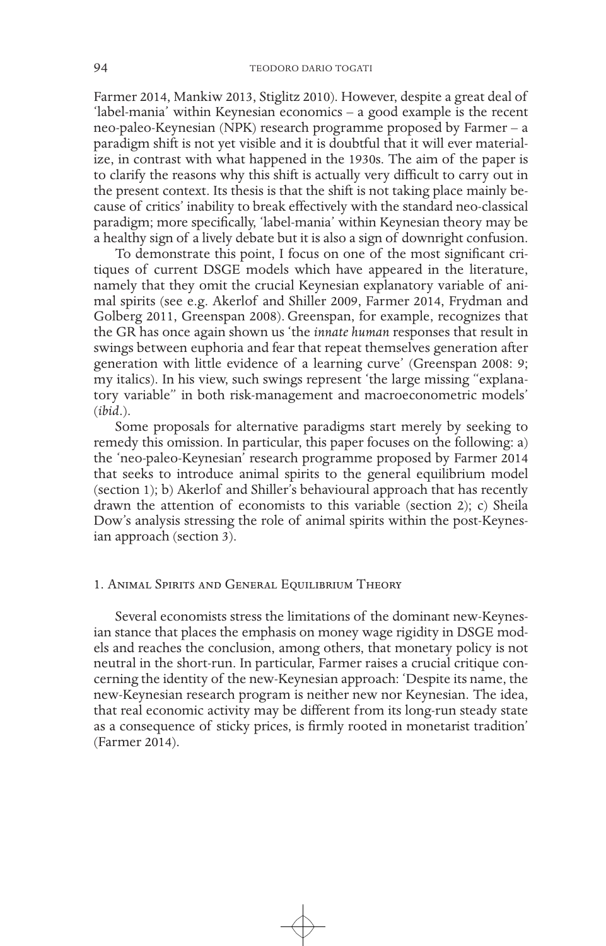Farmer 2014, Mankiw 2013, Stiglitz 2010). However, despite a great deal of 'label-mania' within Keynesian economics – a good example is the recent neo-paleo-Keynesian (NPK) research programme proposed by Farmer – a paradigm shift is not yet visible and it is doubtful that it will ever materialize, in contrast with what happened in the 1930s. The aim of the paper is to clarify the reasons why this shift is actually very difficult to carry out in the present context. Its thesis is that the shift is not taking place mainly because of critics' inability to break effectively with the standard neo-classical paradigm; more specifically, 'label-mania' within Keynesian theory may be a healthy sign of a lively debate but it is also a sign of downright confusion.

To demonstrate this point, I focus on one of the most significant critiques of current DSGE models which have appeared in the literature, namely that they omit the crucial Keynesian explanatory variable of animal spirits (see e.g. Akerlof and Shiller 2009, Farmer 2014, Frydman and Golberg 2011, Greenspan 2008).Greenspan, for example, recognizes that the GR has once again shown us 'the *innate human* responses that result in swings between euphoria and fear that repeat themselves generation after generation with little evidence of a learning curve' (Greenspan 2008: 9; my italics). In his view, such swings represent 'the large missing "explanatory variable" in both risk-management and macroeconometric models' (*ibid*.).

Some proposals for alternative paradigms start merely by seeking to remedy this omission. In particular, this paper focuses on the following: a) the 'neo-paleo-Keynesian' research programme proposed by Farmer 2014 that seeks to introduce animal spirits to the general equilibrium model (section 1); b) Akerlof and Shiller's behavioural approach that has recently drawn the attention of economists to this variable (section 2); c) Sheila Dow's analysis stressing the role of animal spirits within the post-Keynesian approach (section 3).

### 1. Animal Spirits and General Equilibrium Theory

Several economists stress the limitations of the dominant new-Keynesian stance that places the emphasis on money wage rigidity in DSGE models and reaches the conclusion, among others, that monetary policy is not neutral in the short-run. In particular, Farmer raises a crucial critique concerning the identity of the new-Keynesian approach: 'Despite its name, the new-Keynesian research program is neither new nor Keynesian. The idea, that real economic activity may be different from its long-run steady state as a consequence of sticky prices, is firmly rooted in monetarist tradition' (Farmer 2014).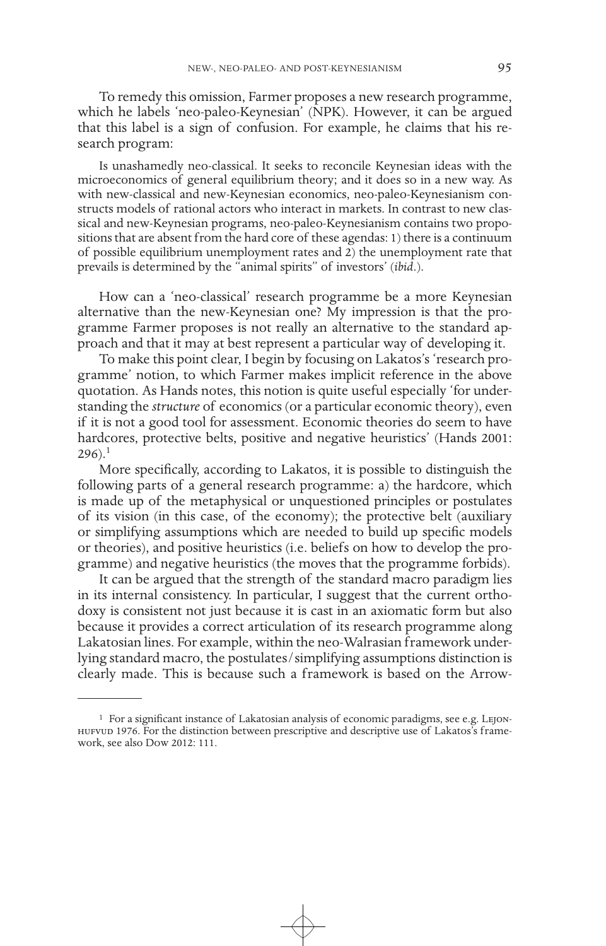To remedy this omission, Farmer proposes a new research programme, which he labels 'neo-paleo-Keynesian' (NPK). However, it can be argued that this label is a sign of confusion. For example, he claims that his research program:

Is unashamedly neo-classical. It seeks to reconcile Keynesian ideas with the microeconomics of general equilibrium theory; and it does so in a new way. As with new-classical and new-Keynesian economics, neo-paleo-Keynesianism constructs models of rational actors who interact in markets. In contrast to new classical and new-Keynesian programs, neo-paleo-Keynesianism contains two propositions that are absent from the hard core of these agendas: 1) there is a continuum of possible equilibrium unemployment rates and 2) the unemployment rate that prevails is determined by the "animal spirits" of investors' (*ibid*.).

How can a 'neo-classical' research programme be a more Keynesian alternative than the new-Keynesian one? My impression is that the programme Farmer proposes is not really an alternative to the standard approach and that it may at best represent a particular way of developing it.

To make this point clear, I begin by focusing on Lakatos's 'research programme' notion, to which Farmer makes implicit reference in the above quotation. As Hands notes, this notion is quite useful especially 'for understanding the *structure* of economics (or a particular economic theory), even if it is not a good tool for assessment. Economic theories do seem to have hardcores, protective belts, positive and negative heuristics' (Hands 2001:  $296$ ).<sup>1</sup>

More specifically, according to Lakatos, it is possible to distinguish the following parts of a general research programme: a) the hardcore, which is made up of the metaphysical or unquestioned principles or postulates of its vision (in this case, of the economy); the protective belt (auxiliary or simplifying assumptions which are needed to build up specific models or theories), and positive heuristics (i.e. beliefs on how to develop the programme) and negative heuristics (the moves that the programme forbids).

It can be argued that the strength of the standard macro paradigm lies in its internal consistency. In particular, I suggest that the current orthodoxy is consistent not just because it is cast in an axiomatic form but also because it provides a correct articulation of its research programme along Lakatosian lines. For example, within the neo-Walrasian framework underlying standard macro, the postulates/simplifying assumptions distinction is clearly made. This is because such a framework is based on the Arrow-

<sup>&</sup>lt;sup>1</sup> For a significant instance of Lakatosian analysis of economic paradigms, see e.g. LEJONhufvud 1976. For the distinction between prescriptive and descriptive use of Lakatos's framework, see also Dow 2012: 111.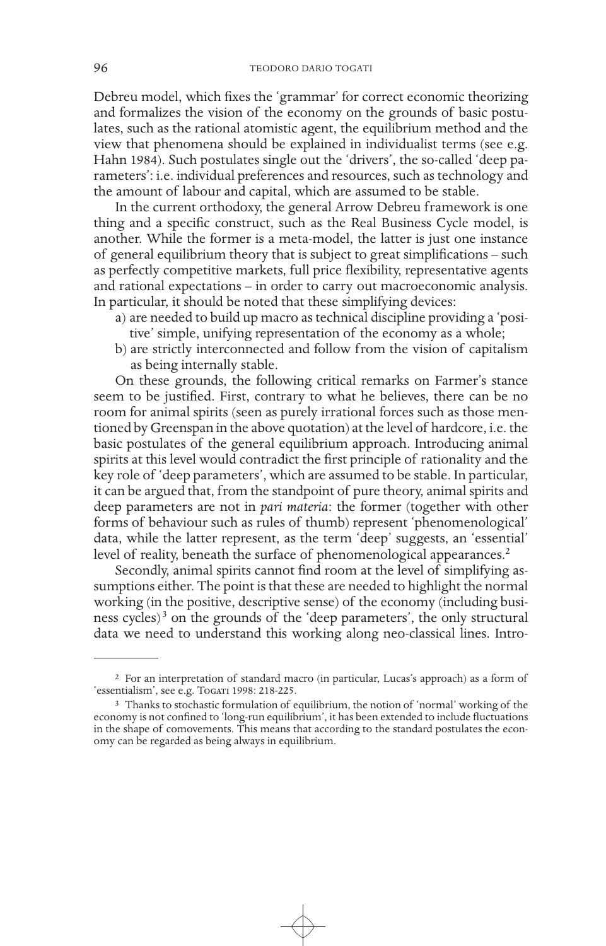Debreu model, which fixes the 'grammar' for correct economic theorizing and formalizes the vision of the economy on the grounds of basic postulates, such as the rational atomistic agent, the equilibrium method and the view that phenomena should be explained in individualist terms (see e.g. Hahn 1984). Such postulates single out the 'drivers', the so-called 'deep parameters': i.e. individual preferences and resources, such as technology and the amount of labour and capital, which are assumed to be stable.

In the current orthodoxy, the general Arrow Debreu framework is one thing and a specific construct, such as the Real Business Cycle model, is another. While the former is a meta-model, the latter is just one instance of general equilibrium theory that is subject to great simplifications – such as perfectly competitive markets, full price flexibility, representative agents and rational expectations – in order to carry out macroeconomic analysis. In particular, it should be noted that these simplifying devices:

- a) are needed to build up macro as technical discipline providing a 'positive' simple, unifying representation of the economy as a whole;
- b) are strictly interconnected and follow from the vision of capitalism as being internally stable.

On these grounds, the following critical remarks on Farmer's stance seem to be justified. First, contrary to what he believes, there can be no room for animal spirits (seen as purely irrational forces such as those mentioned by Greenspan in the above quotation) at the level of hardcore, i.e. the basic postulates of the general equilibrium approach. Introducing animal spirits at this level would contradict the first principle of rationality and the key role of 'deep parameters', which are assumed to be stable. In particular, it can be argued that, from the standpoint of pure theory, animal spirits and deep parameters are not in *pari materia*: the former (together with other forms of behaviour such as rules of thumb) represent 'phenomenological' data, while the latter represent, as the term 'deep' suggests, an 'essential' level of reality, beneath the surface of phenomenological appearances.<sup>2</sup>

Secondly, animal spirits cannot find room at the level of simplifying assumptions either. The point is that these are needed to highlight the normal working (in the positive, descriptive sense) of the economy (including business cycles)<sup>3</sup> on the grounds of the 'deep parameters', the only structural data we need to understand this working along neo-classical lines. Intro-

<sup>2</sup> For an interpretation of standard macro (in particular, Lucas's approach) as a form of 'essentialism', see e.g. Togari 1998: 218-225.

<sup>3</sup> Thanks to stochastic formulation of equilibrium, the notion of 'normal' working of the economy is not confined to 'long-run equilibrium', it has been extended to include fluctuations in the shape of comovements. This means that according to the standard postulates the economy can be regarded as being always in equilibrium.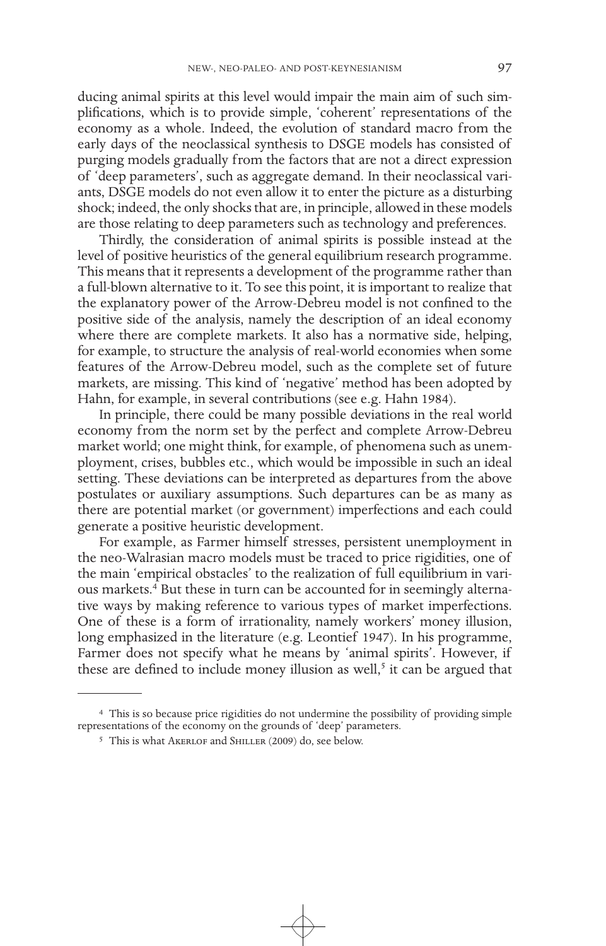ducing animal spirits at this level would impair the main aim of such simplifications, which is to provide simple, 'coherent' representations of the economy as a whole. Indeed, the evolution of standard macro from the early days of the neoclassical synthesis to DSGE models has consisted of purging models gradually from the factors that are not a direct expression of 'deep parameters', such as aggregate demand. In their neoclassical variants, DSGE models do not even allow it to enter the picture as a disturbing shock; indeed, the only shocks that are, in principle, allowed in these models are those relating to deep parameters such as technology and preferences.

Thirdly, the consideration of animal spirits is possible instead at the level of positive heuristics of the general equilibrium research programme. This means that it represents a development of the programme rather than a full-blown alternative to it. To see this point, it is important to realize that the explanatory power of the Arrow-Debreu model is not confined to the positive side of the analysis, namely the description of an ideal economy where there are complete markets. It also has a normative side, helping, for example, to structure the analysis of real-world economies when some features of the Arrow-Debreu model, such as the complete set of future markets, are missing. This kind of 'negative' method has been adopted by Hahn, for example, in several contributions (see e.g. Hahn 1984).

In principle, there could be many possible deviations in the real world economy from the norm set by the perfect and complete Arrow-Debreu market world; one might think, for example, of phenomena such as unemployment, crises, bubbles etc., which would be impossible in such an ideal setting. These deviations can be interpreted as departures from the above postulates or auxiliary assumptions. Such departures can be as many as there are potential market (or government) imperfections and each could generate a positive heuristic development.

For example, as Farmer himself stresses, persistent unemployment in the neo-Walrasian macro models must be traced to price rigidities, one of the main 'empirical obstacles' to the realization of full equilibrium in various markets.<sup>4</sup> But these in turn can be accounted for in seemingly alternative ways by making reference to various types of market imperfections. One of these is a form of irrationality, namely workers' money illusion, long emphasized in the literature (e.g. Leontief 1947). In his programme, Farmer does not specify what he means by 'animal spirits'. However, if these are defined to include money illusion as well,<sup>5</sup> it can be argued that

<sup>4</sup> This is so because price rigidities do not undermine the possibility of providing simple representations of the economy on the grounds of 'deep' parameters.

<sup>5</sup> This is what Akerlof and Shiller (2009) do, see below.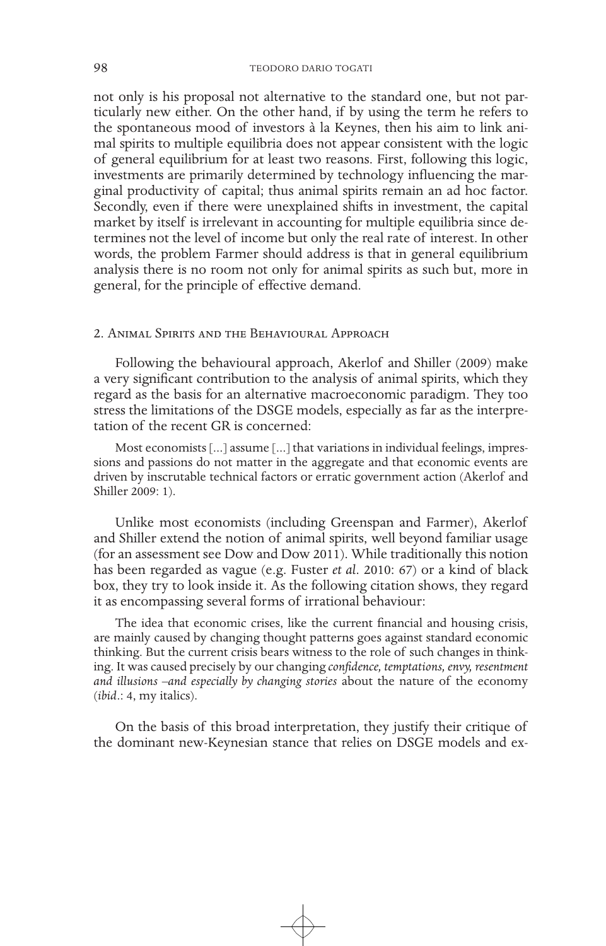not only is his proposal not alternative to the standard one, but not particularly new either. On the other hand, if by using the term he refers to the spontaneous mood of investors à la Keynes, then his aim to link animal spirits to multiple equilibria does not appear consistent with the logic of general equilibrium for at least two reasons. First, following this logic, investments are primarily determined by technology influencing the marginal productivity of capital; thus animal spirits remain an ad hoc factor. Secondly, even if there were unexplained shifts in investment, the capital market by itself is irrelevant in accounting for multiple equilibria since determines not the level of income but only the real rate of interest. In other words, the problem Farmer should address is that in general equilibrium analysis there is no room not only for animal spirits as such but, more in general, for the principle of effective demand.

#### 2. Animal Spirits and the Behavioural Approach

Following the behavioural approach, Akerlof and Shiller (2009) make a very significant contribution to the analysis of animal spirits, which they regard as the basis for an alternative macroeconomic paradigm. They too stress the limitations of the DSGE models, especially as far as the interpretation of the recent GR is concerned:

Most economists [...] assume [...] that variations in individual feelings, impressions and passions do not matter in the aggregate and that economic events are driven by inscrutable technical factors or erratic government action (Akerlof and Shiller 2009: 1).

Unlike most economists (including Greenspan and Farmer), Akerlof and Shiller extend the notion of animal spirits, well beyond familiar usage (for an assessment see Dow and Dow 2011). While traditionally this notion has been regarded as vague (e.g. Fuster *et al*. 2010: 67) or a kind of black box, they try to look inside it. As the following citation shows, they regard it as encompassing several forms of irrational behaviour:

The idea that economic crises, like the current financial and housing crisis, are mainly caused by changing thought patterns goes against standard economic thinking. But the current crisis bears witness to the role of such changes in thinking. It was caused precisely by our changing *confidence, temptations, envy, resentment and illusions –and especially by changing stories* about the nature of the economy (*ibid*.: 4, my italics).

On the basis of this broad interpretation, they justify their critique of the dominant new-Keynesian stance that relies on DSGE models and ex-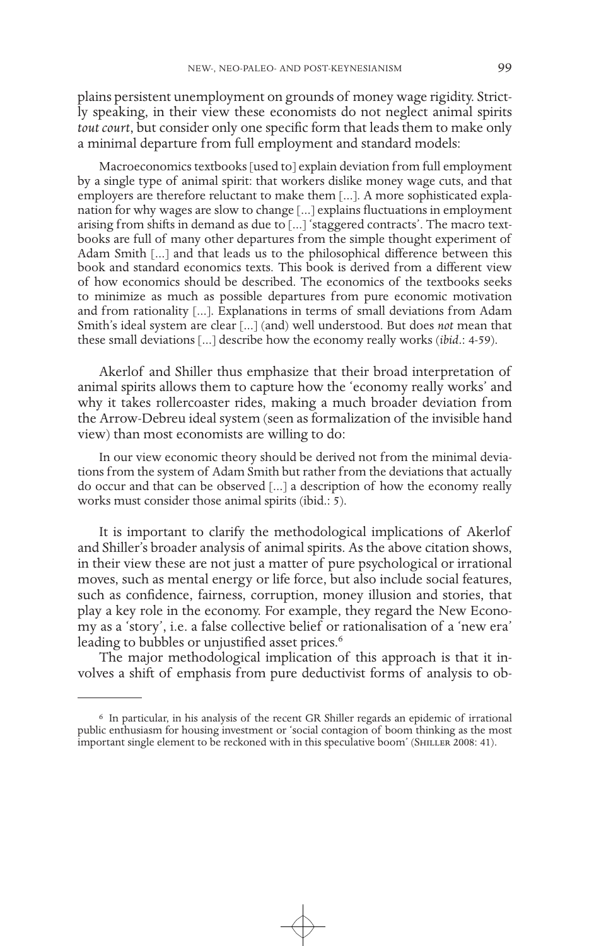plains persistent unemployment on grounds of money wage rigidity. Strictly speaking, in their view these economists do not neglect animal spirits *tout court*, but consider only one specific form that leads them to make only a minimal departure from full employment and standard models:

Macroeconomics textbooks [used to] explain deviation from full employment by a single type of animal spirit: that workers dislike money wage cuts, and that employers are therefore reluctant to make them [...]. A more sophisticated explanation for why wages are slow to change [...] explains fluctuations in employment arising from shifts in demand as due to [...] 'staggered contracts'. The macro textbooks are full of many other departures from the simple thought experiment of Adam Smith [...] and that leads us to the philosophical difference between this book and standard economics texts. This book is derived from a different view of how economics should be described. The economics of the textbooks seeks to minimize as much as possible departures from pure economic motivation and from rationality [...]. Explanations in terms of small deviations from Adam Smith's ideal system are clear [...] (and) well understood. But does *not* mean that these small deviations [...] describe how the economy really works (*ibid*.: 4-59).

Akerlof and Shiller thus emphasize that their broad interpretation of animal spirits allows them to capture how the 'economy really works' and why it takes rollercoaster rides, making a much broader deviation from the Arrow-Debreu ideal system (seen as formalization of the invisible hand view) than most economists are willing to do:

In our view economic theory should be derived not from the minimal deviations from the system of Adam Smith but rather from the deviations that actually do occur and that can be observed [...] a description of how the economy really works must consider those animal spirits (ibid.: 5).

It is important to clarify the methodological implications of Akerlof and Shiller's broader analysis of animal spirits. As the above citation shows, in their view these are not just a matter of pure psychological or irrational moves, such as mental energy or life force, but also include social features, such as confidence, fairness, corruption, money illusion and stories, that play a key role in the economy. For example, they regard the New Economy as a 'story', i.e. a false collective belief or rationalisation of a 'new era' leading to bubbles or unjustified asset prices.<sup>6</sup>

The major methodological implication of this approach is that it involves a shift of emphasis from pure deductivist forms of analysis to ob-

<sup>6</sup> In particular, in his analysis of the recent GR Shiller regards an epidemic of irrational public enthusiasm for housing investment or 'social contagion of boom thinking as the most important single element to be reckoned with in this speculative boom' (SHILLER 2008: 41).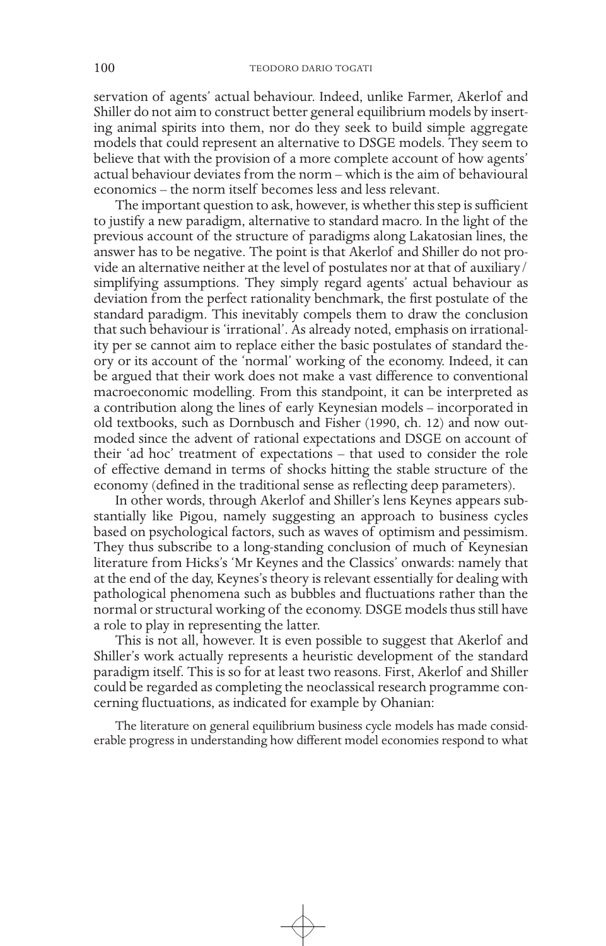servation of agents' actual behaviour. Indeed, unlike Farmer, Akerlof and Shiller do not aim to construct better general equilibrium models by inserting animal spirits into them, nor do they seek to build simple aggregate models that could represent an alternative to DSGE models. They seem to believe that with the provision of a more complete account of how agents' actual behaviour deviates from the norm – which is the aim of behavioural economics – the norm itself becomes less and less relevant.

The important question to ask, however, is whether this step is sufficient to justify a new paradigm, alternative to standard macro. In the light of the previous account of the structure of paradigms along Lakatosian lines, the answer has to be negative. The point is that Akerlof and Shiller do not provide an alternative neither at the level of postulates nor at that of auxiliary/ simplifying assumptions. They simply regard agents' actual behaviour as deviation from the perfect rationality benchmark, the first postulate of the standard paradigm. This inevitably compels them to draw the conclusion that such behaviour is 'irrational'. As already noted, emphasis on irrationality per se cannot aim to replace either the basic postulates of standard theory or its account of the 'normal' working of the economy. Indeed, it can be argued that their work does not make a vast difference to conventional macroeconomic modelling. From this standpoint, it can be interpreted as a contribution along the lines of early Keynesian models – incorporated in old textbooks, such as Dornbusch and Fisher (1990, ch. 12) and now outmoded since the advent of rational expectations and DSGE on account of their 'ad hoc' treatment of expectations – that used to consider the role of effective demand in terms of shocks hitting the stable structure of the economy (defined in the traditional sense as reflecting deep parameters).

In other words, through Akerlof and Shiller's lens Keynes appears substantially like Pigou, namely suggesting an approach to business cycles based on psychological factors, such as waves of optimism and pessimism. They thus subscribe to a long-standing conclusion of much of Keynesian literature from Hicks's 'Mr Keynes and the Classics' onwards: namely that at the end of the day, Keynes's theory is relevant essentially for dealing with pathological phenomena such as bubbles and fluctuations rather than the normal or structural working of the economy. DSGE models thus still have a role to play in representing the latter.

This is not all, however. It is even possible to suggest that Akerlof and Shiller's work actually represents a heuristic development of the standard paradigm itself. This is so for at least two reasons. First, Akerlof and Shiller could be regarded as completing the neoclassical research programme concerning fluctuations, as indicated for example by Ohanian:

The literature on general equilibrium business cycle models has made considerable progress in understanding how different model economies respond to what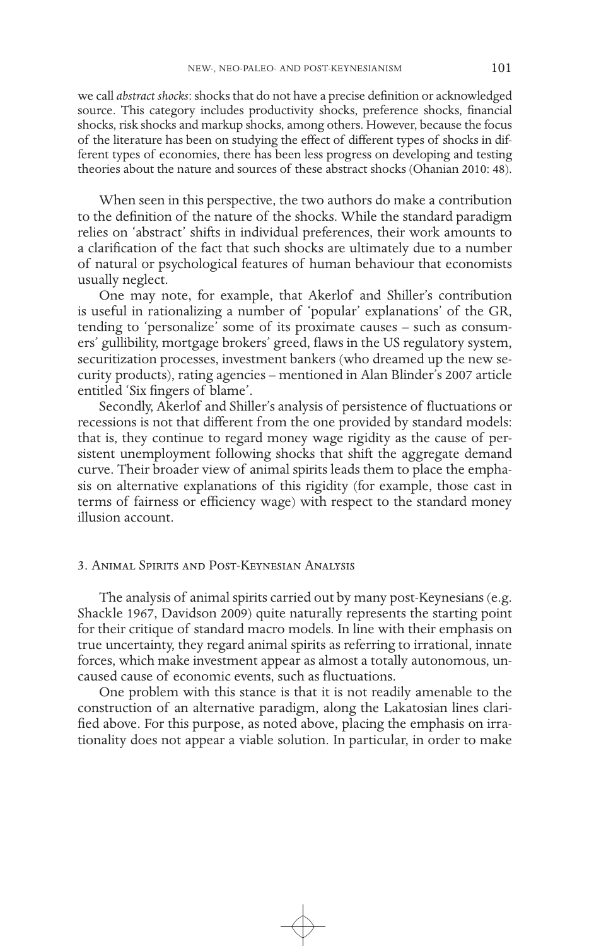we call *abstract shocks*: shocks that do not have a precise definition or acknowledged source. This category includes productivity shocks, preference shocks, financial shocks, risk shocks and markup shocks, among others. However, because the focus of the literature has been on studying the effect of different types of shocks in different types of economies, there has been less progress on developing and testing theories about the nature and sources of these abstract shocks (Ohanian 2010: 48).

When seen in this perspective, the two authors do make a contribution to the definition of the nature of the shocks. While the standard paradigm relies on 'abstract' shifts in individual preferences, their work amounts to a clarification of the fact that such shocks are ultimately due to a number of natural or psychological features of human behaviour that economists usually neglect.

One may note, for example, that Akerlof and Shiller's contribution is useful in rationalizing a number of 'popular' explanations' of the GR, tending to 'personalize' some of its proximate causes – such as consumers' gullibility, mortgage brokers' greed, flaws in the US regulatory system, securitization processes, investment bankers (who dreamed up the new security products), rating agencies – mentioned in Alan Blinder's 2007 article entitled 'Six fingers of blame'.

Secondly, Akerlof and Shiller's analysis of persistence of fluctuations or recessions is not that different from the one provided by standard models: that is, they continue to regard money wage rigidity as the cause of persistent unemployment following shocks that shift the aggregate demand curve. Their broader view of animal spirits leads them to place the emphasis on alternative explanations of this rigidity (for example, those cast in terms of fairness or efficiency wage) with respect to the standard money illusion account.

# 3. Animal Spirits and Post-Keynesian Analysis

The analysis of animal spirits carried out by many post-Keynesians (e.g. Shackle 1967, Davidson 2009) quite naturally represents the starting point for their critique of standard macro models. In line with their emphasis on true uncertainty, they regard animal spirits as referring to irrational, innate forces, which make investment appear as almost a totally autonomous, uncaused cause of economic events, such as fluctuations.

One problem with this stance is that it is not readily amenable to the construction of an alternative paradigm, along the Lakatosian lines clarified above. For this purpose, as noted above, placing the emphasis on irrationality does not appear a viable solution. In particular, in order to make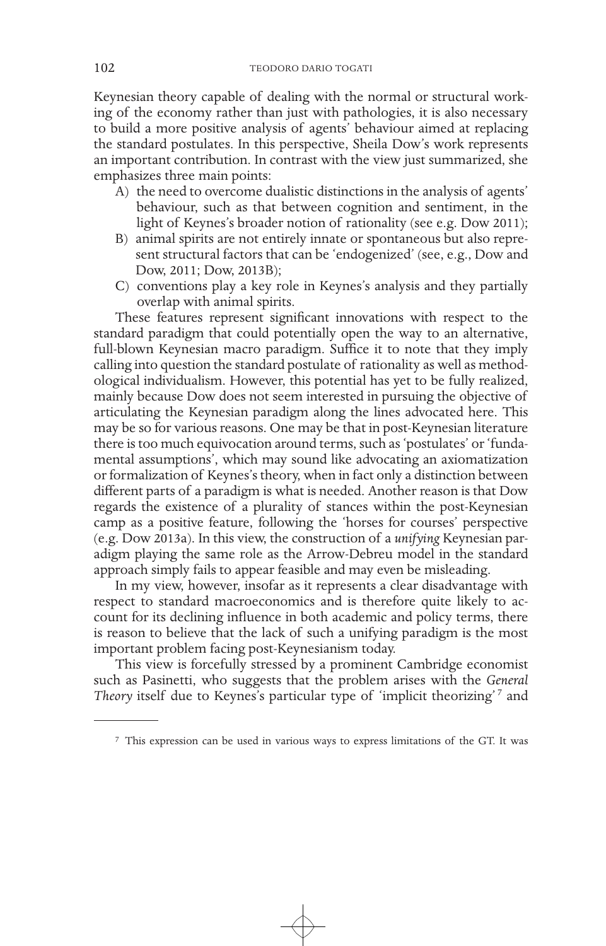Keynesian theory capable of dealing with the normal or structural working of the economy rather than just with pathologies, it is also necessary to build a more positive analysis of agents' behaviour aimed at replacing the standard postulates. In this perspective, Sheila Dow's work represents an important contribution. In contrast with the view just summarized, she emphasizes three main points:

- A) the need to overcome dualistic distinctions in the analysis of agents' behaviour, such as that between cognition and sentiment, in the light of Keynes's broader notion of rationality (see e.g. Dow 2011);
- B) animal spirits are not entirely innate or spontaneous but also represent structural factors that can be 'endogenized' (see, e.g., Dow and Dow, 2011; Dow, 2013B);
- C) conventions play a key role in Keynes's analysis and they partially overlap with animal spirits.

These features represent significant innovations with respect to the standard paradigm that could potentially open the way to an alternative, full-blown Keynesian macro paradigm. Suffice it to note that they imply calling into question the standard postulate of rationality as well as methodological individualism. However, this potential has yet to be fully realized, mainly because Dow does not seem interested in pursuing the objective of articulating the Keynesian paradigm along the lines advocated here. This may be so for various reasons. One may be that in post-Keynesian literature there is too much equivocation around terms, such as 'postulates' or 'fundamental assumptions', which may sound like advocating an axiomatization or formalization of Keynes's theory, when in fact only a distinction between different parts of a paradigm is what is needed. Another reason is that Dow regards the existence of a plurality of stances within the post-Keynesian camp as a positive feature, following the 'horses for courses' perspective (e.g. Dow 2013a). In this view, the construction of a *unifying* Keynesian paradigm playing the same role as the Arrow-Debreu model in the standard approach simply fails to appear feasible and may even be misleading.

In my view, however, insofar as it represents a clear disadvantage with respect to standard macroeconomics and is therefore quite likely to account for its declining influence in both academic and policy terms, there is reason to believe that the lack of such a unifying paradigm is the most important problem facing post-Keynesianism today.

This view is forcefully stressed by a prominent Cambridge economist such as Pasinetti, who suggests that the problem arises with the *General*  Theory itself due to Keynes's particular type of 'implicit theorizing'<sup>7</sup> and

<sup>7</sup> This expression can be used in various ways to express limitations of the GT. It was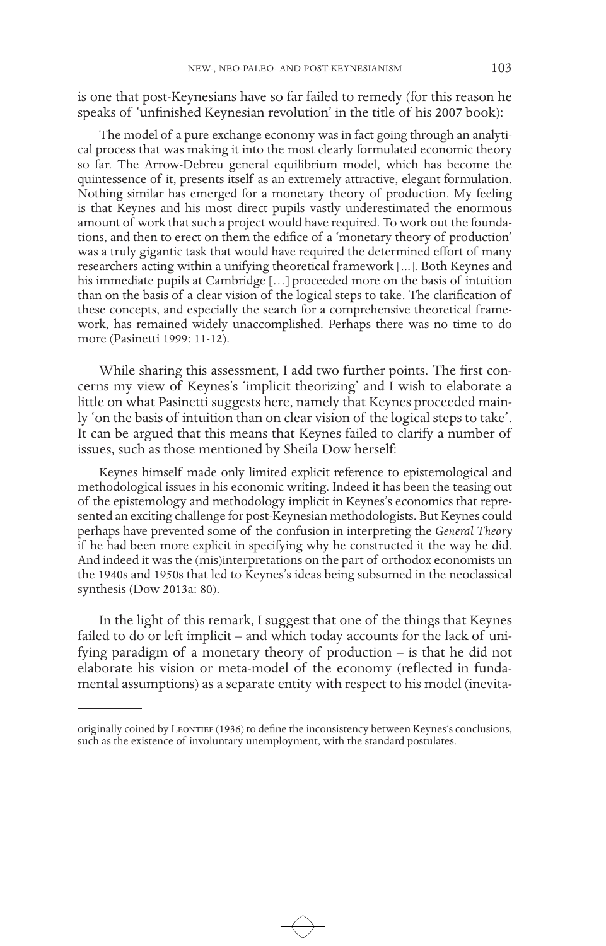is one that post-Keynesians have so far failed to remedy (for this reason he speaks of 'unfinished Keynesian revolution' in the title of his 2007 book):

The model of a pure exchange economy was in fact going through an analytical process that was making it into the most clearly formulated economic theory so far. The Arrow-Debreu general equilibrium model, which has become the quintessence of it, presents itself as an extremely attractive, elegant formulation. Nothing similar has emerged for a monetary theory of production. My feeling is that Keynes and his most direct pupils vastly underestimated the enormous amount of work that such a project would have required. To work out the foundations, and then to erect on them the edifice of a 'monetary theory of production' was a truly gigantic task that would have required the determined effort of many researchers acting within a unifying theoretical framework [...]. Both Keynes and his immediate pupils at Cambridge […] proceeded more on the basis of intuition than on the basis of a clear vision of the logical steps to take. The clarification of these concepts, and especially the search for a comprehensive theoretical framework, has remained widely unaccomplished. Perhaps there was no time to do more (Pasinetti 1999: 11-12).

While sharing this assessment, I add two further points. The first concerns my view of Keynes's 'implicit theorizing' and I wish to elaborate a little on what Pasinetti suggests here, namely that Keynes proceeded mainly 'on the basis of intuition than on clear vision of the logical steps to take'. It can be argued that this means that Keynes failed to clarify a number of issues, such as those mentioned by Sheila Dow herself:

Keynes himself made only limited explicit reference to epistemological and methodological issues in his economic writing. Indeed it has been the teasing out of the epistemology and methodology implicit in Keynes's economics that represented an exciting challenge for post-Keynesian methodologists. But Keynes could perhaps have prevented some of the confusion in interpreting the *General Theory* if he had been more explicit in specifying why he constructed it the way he did. And indeed it was the (mis)interpretations on the part of orthodox economists un the 1940s and 1950s that led to Keynes's ideas being subsumed in the neoclassical synthesis (Dow 2013a: 80).

In the light of this remark, I suggest that one of the things that Keynes failed to do or left implicit – and which today accounts for the lack of unifying paradigm of a monetary theory of production – is that he did not elaborate his vision or meta-model of the economy (reflected in fundamental assumptions) as a separate entity with respect to his model (inevita-

originally coined by Leontief (1936) to define the inconsistency between Keynes's conclusions, such as the existence of involuntary unemployment, with the standard postulates.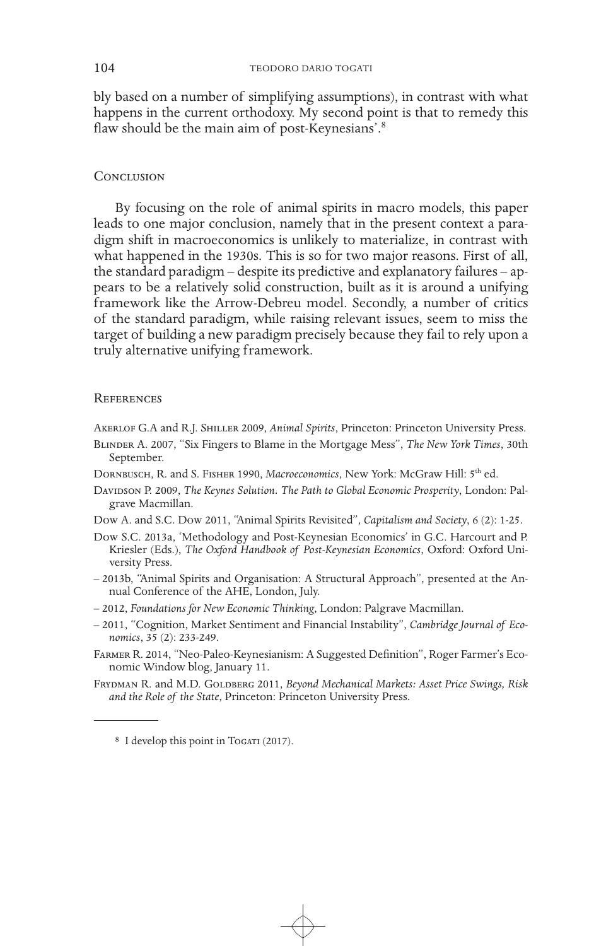bly based on a number of simplifying assumptions), in contrast with what happens in the current orthodoxy. My second point is that to remedy this flaw should be the main aim of post-Keynesians'.<sup>8</sup>

# **CONCLUSION**

By focusing on the role of animal spirits in macro models, this paper leads to one major conclusion, namely that in the present context a paradigm shift in macroeconomics is unlikely to materialize, in contrast with what happened in the 1930s. This is so for two major reasons. First of all, the standard paradigm – despite its predictive and explanatory failures – appears to be a relatively solid construction, built as it is around a unifying framework like the Arrow-Debreu model. Secondly, a number of critics of the standard paradigm, while raising relevant issues, seem to miss the target of building a new paradigm precisely because they fail to rely upon a truly alternative unifying framework.

### **REFERENCES**

Akerlof G.A and R.J. Shiller 2009, *Animal Spirits*, Princeton: Princeton University Press.

- Blinder A. 2007, "Six Fingers to Blame in the Mortgage Mess", *The New York Times*, 30th September.
- Dornbusch, R. and S. Fisher 1990, *Macroeconomics*, New York: McGraw Hill: 5th ed.
- Davidson P. 2009, *The Keynes Solution. The Path to Global Economic Prosperity*, London: Palgrave Macmillan.
- Dow A. and S.C. Dow 2011, "Animal Spirits Revisited", *Capitalism and Society*, 6 (2): 1-25.
- Dow S.C. 2013a, 'Methodology and Post-Keynesian Economics' in G.C. Harcourt and P. Kriesler (Eds.), *The Oxford Handbook of Post-Keynesian Economics*, Oxford: Oxford University Press.
- 2013b, "Animal Spirits and Organisation: A Structural Approach", presented at the Annual Conference of the AHE, London, July.
- 2012, *Foundations for New Economic Thinking*, London: Palgrave Macmillan.
- 2011, "Cognition, Market Sentiment and Financial Instability", *Cambridge Journal of Economics*, 35 (2): 233-249.
- Farmer R. 2014, "Neo-Paleo-Keynesianism: A Suggested Definition", Roger Farmer's Economic Window blog, January 11.
- FRYDMAN R. and M.D. GOLDBERG 2011, *Beyond Mechanical Markets: Asset Price Swings*, Risk *and the Role of the State*, Princeton: Princeton University Press.

<sup>&</sup>lt;sup>8</sup> I develop this point in Togari (2017).